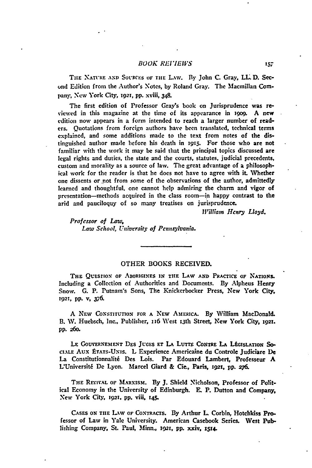## **BOOK REVIEWS**

THE NATURE AND SOURCES OF THE LAW. By John C. Gray, LL D. Sec**unl** Edition from the Author's Notes, **by** Roland Gray. The Macmillan Company, New York City, **1921, pp.** xviii, 348.

The first edition of Professor Gray's book on Jurisprudence was **re**viewed in this magazine at the time of its appearance in 1909. A new edition now appears in a form intended to reach a larger number of readers. Quotations from foreign authors have been translated, technical terms explained, and some additions made to the text from notes of the distinguished author made before his death in **I15.** For those who are not familiar with the work it may be said that the principal topics discussed are legal rights and duties, the state and the courts, statutes, judicial precedents, custom and morality as a source of law. The great advantage of a philosophical work **for** the reader is that he does not have to agree with it. Whether one dissents or not from some of the observations of the author, admittedly learned and thoughtful, one cannot help admiring the charm and vigor of presentation-methods acquired in the class room-in happy contrast to the **arid** and pauciloquy of so many treatises on jurisprudence.

*William Henry Lloyd.*

*Professor of Law, Law School, University of Pennsylvania.*

## OTHER BOOKS RECEIVED.

**THE** QuEsriox **OF ABORIGINES IN THE LAW AND PRACTICE OF N'ATIONS.** Including a Collection of Authorities and Documents. **By** Alpheus Henry Snow. **G. P.** Putnam's Sons, The Knickerbocker Press, New York City, **1921,** pp. v, **376.**

**A NEw CONSTITUTION FOR A NEW AmERicA. By** William MacDonald. **B. W.** Huebsch, Inc., Publisher, *i16* West x3th Street, New York City, **i9m. pp. 26o.**

LE GOUVERNEMENT DES JUGES ET LA LUTTE CONTRE LA LÉGISLATION SO-**CIALE Aux P-TATs-U.Ns.** L Experience Americaine du Controle Judiciare **De** La Constitutionnaliti Des Lois. Par Edouard Lambert, Professeur **A** L'Universiti De Lyon. Marcel Giard & Cie., Paris, **192i, pp. 276.**

**THE REVIVAL OF MARXISM. By J.** Shield Nicholson, Professor of Political Economy in the University of Edinburgh. **E.** P. Dutton and Company, New York City, **1921. pp.** viii, **145.**

**CASES ON THE** L.-W or **CONTRAcTS. By** Arthur L Corbin, Hotchkiss Professor of Law in Yale University. American Casebook Series. Vest Publishing Company, St. Paul, Minn., **1921, pp.** xxiv, **1514.**